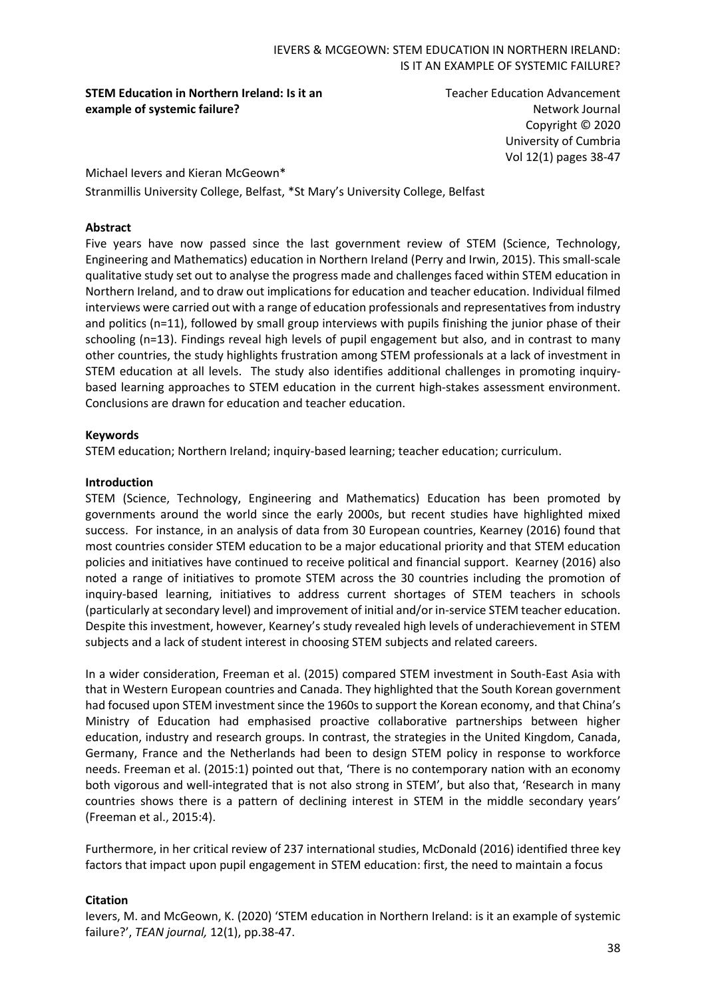### **STEM Education in Northern Ireland: Is it an example of systemic failure?**

Teacher Education Advancement Network Journal Copyright © 2020 University of Cumbria Vol 12(1) pages 38-47

Michael Ievers and Kieran McGeown\* Stranmillis University College, Belfast, \*St Mary's University College, Belfast

# **Abstract**

Five years have now passed since the last government review of STEM (Science, Technology, Engineering and Mathematics) education in Northern Ireland (Perry and Irwin, 2015). This small-scale qualitative study set out to analyse the progress made and challenges faced within STEM education in Northern Ireland, and to draw out implications for education and teacher education. Individual filmed interviews were carried out with a range of education professionals and representatives from industry and politics (n=11), followed by small group interviews with pupils finishing the junior phase of their schooling (n=13). Findings reveal high levels of pupil engagement but also, and in contrast to many other countries, the study highlights frustration among STEM professionals at a lack of investment in STEM education at all levels. The study also identifies additional challenges in promoting inquirybased learning approaches to STEM education in the current high-stakes assessment environment. Conclusions are drawn for education and teacher education.

# **Keywords**

STEM education; Northern Ireland; inquiry-based learning; teacher education; curriculum.

### **Introduction**

STEM (Science, Technology, Engineering and Mathematics) Education has been promoted by governments around the world since the early 2000s, but recent studies have highlighted mixed success. For instance, in an analysis of data from 30 European countries, Kearney (2016) found that most countries consider STEM education to be a major educational priority and that STEM education policies and initiatives have continued to receive political and financial support. Kearney (2016) also noted a range of initiatives to promote STEM across the 30 countries including the promotion of inquiry-based learning, initiatives to address current shortages of STEM teachers in schools (particularly at secondary level) and improvement of initial and/or in-service STEM teacher education. Despite this investment, however, Kearney's study revealed high levels of underachievement in STEM subjects and a lack of student interest in choosing STEM subjects and related careers.

In a wider consideration, Freeman et al. (2015) compared STEM investment in South-East Asia with that in Western European countries and Canada. They highlighted that the South Korean government had focused upon STEM investment since the 1960s to support the Korean economy, and that China's Ministry of Education had emphasised proactive collaborative partnerships between higher education, industry and research groups. In contrast, the strategies in the United Kingdom, Canada, Germany, France and the Netherlands had been to design STEM policy in response to workforce needs. Freeman et al. (2015:1) pointed out that, 'There is no contemporary nation with an economy both vigorous and well-integrated that is not also strong in STEM', but also that, 'Research in many countries shows there is a pattern of declining interest in STEM in the middle secondary years' (Freeman et al., 2015:4).

Furthermore, in her critical review of 237 international studies, McDonald (2016) identified three key factors that impact upon pupil engagement in STEM education: first, the need to maintain a focus

# **Citation**

Ievers, M. and McGeown, K. (2020) 'STEM education in Northern Ireland: is it an example of systemic failure?', *TEAN journal,* 12(1), pp.38-47.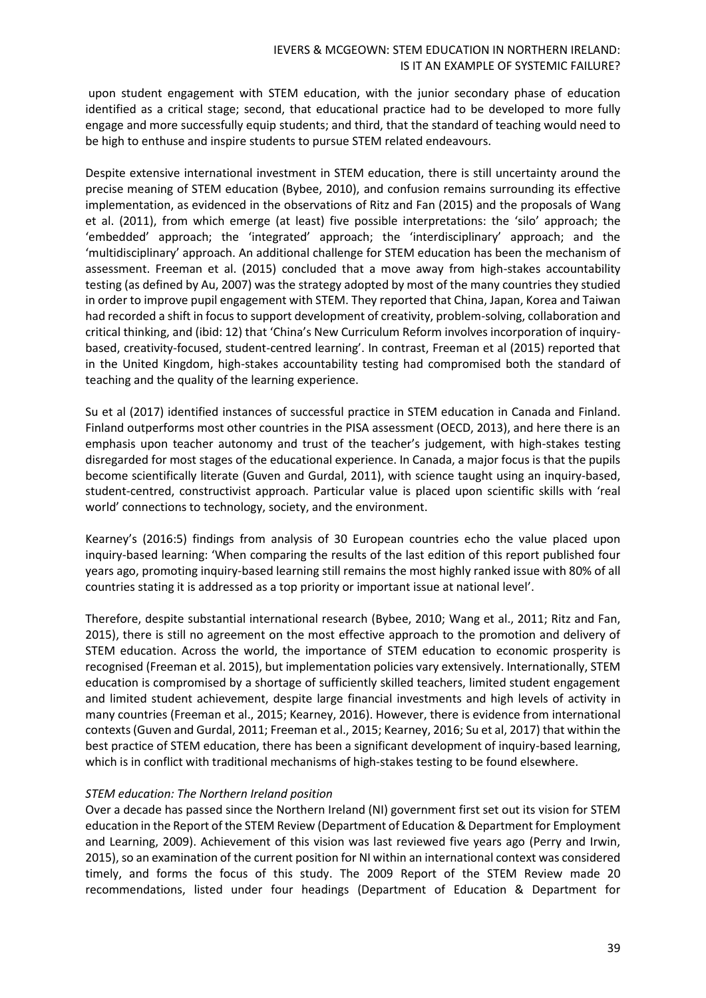upon student engagement with STEM education, with the junior secondary phase of education identified as a critical stage; second, that educational practice had to be developed to more fully engage and more successfully equip students; and third, that the standard of teaching would need to be high to enthuse and inspire students to pursue STEM related endeavours.

Despite extensive international investment in STEM education, there is still uncertainty around the precise meaning of STEM education (Bybee, 2010), and confusion remains surrounding its effective implementation, as evidenced in the observations of Ritz and Fan (2015) and the proposals of Wang et al. (2011), from which emerge (at least) five possible interpretations: the 'silo' approach; the 'embedded' approach; the 'integrated' approach; the 'interdisciplinary' approach; and the 'multidisciplinary' approach. An additional challenge for STEM education has been the mechanism of assessment. Freeman et al. (2015) concluded that a move away from high-stakes accountability testing (as defined by Au, 2007) was the strategy adopted by most of the many countries they studied in order to improve pupil engagement with STEM. They reported that China, Japan, Korea and Taiwan had recorded a shift in focus to support development of creativity, problem-solving, collaboration and critical thinking, and (ibid: 12) that 'China's New Curriculum Reform involves incorporation of inquirybased, creativity-focused, student-centred learning'. In contrast, Freeman et al (2015) reported that in the United Kingdom, high-stakes accountability testing had compromised both the standard of teaching and the quality of the learning experience.

Su et al (2017) identified instances of successful practice in STEM education in Canada and Finland. Finland outperforms most other countries in the PISA assessment (OECD, 2013), and here there is an emphasis upon teacher autonomy and trust of the teacher's judgement, with high-stakes testing disregarded for most stages of the educational experience. In Canada, a major focus is that the pupils become scientifically literate (Guven and Gurdal, 2011), with science taught using an inquiry-based, student-centred, constructivist approach. Particular value is placed upon scientific skills with 'real world' connections to technology, society, and the environment.

Kearney's (2016:5) findings from analysis of 30 European countries echo the value placed upon inquiry-based learning: 'When comparing the results of the last edition of this report published four years ago, promoting inquiry-based learning still remains the most highly ranked issue with 80% of all countries stating it is addressed as a top priority or important issue at national level'.

Therefore, despite substantial international research (Bybee, 2010; Wang et al., 2011; Ritz and Fan, 2015), there is still no agreement on the most effective approach to the promotion and delivery of STEM education. Across the world, the importance of STEM education to economic prosperity is recognised (Freeman et al. 2015), but implementation policies vary extensively. Internationally, STEM education is compromised by a shortage of sufficiently skilled teachers, limited student engagement and limited student achievement, despite large financial investments and high levels of activity in many countries (Freeman et al., 2015; Kearney, 2016). However, there is evidence from international contexts(Guven and Gurdal, 2011; Freeman et al., 2015; Kearney, 2016; Su et al, 2017) that within the best practice of STEM education, there has been a significant development of inquiry-based learning, which is in conflict with traditional mechanisms of high-stakes testing to be found elsewhere.

### *STEM education: The Northern Ireland position*

Over a decade has passed since the Northern Ireland (NI) government first set out its vision for STEM education in the Report of the STEM Review (Department of Education & Department for Employment and Learning, 2009). Achievement of this vision was last reviewed five years ago (Perry and Irwin, 2015), so an examination of the current position for NI within an international context was considered timely, and forms the focus of this study. The 2009 Report of the STEM Review made 20 recommendations, listed under four headings (Department of Education & Department for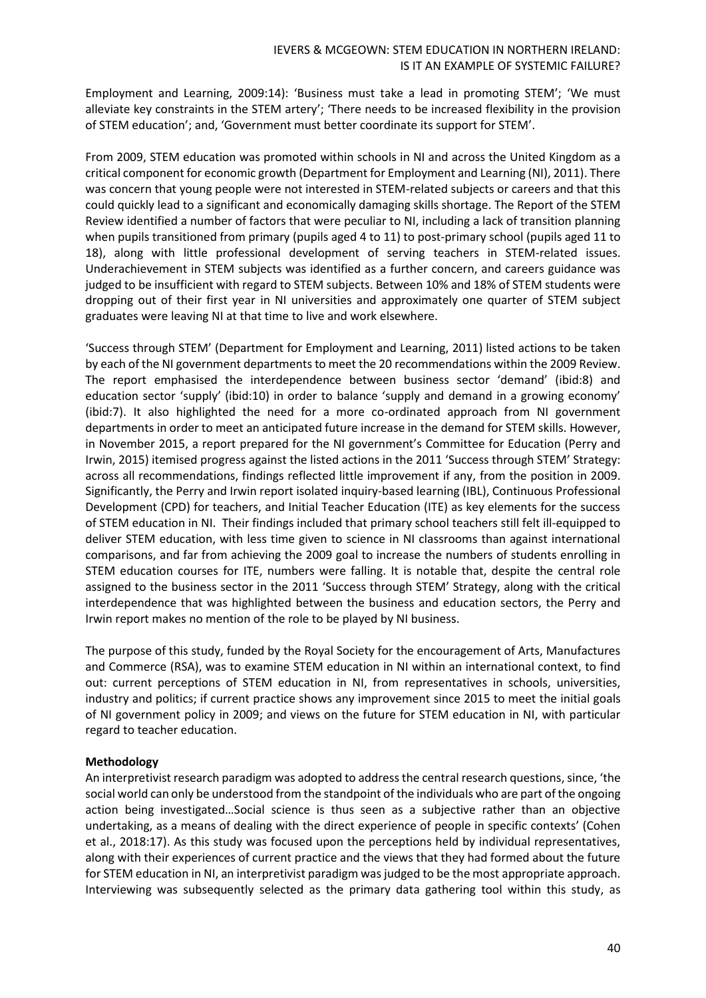Employment and Learning, 2009:14): 'Business must take a lead in promoting STEM'; 'We must alleviate key constraints in the STEM artery'; 'There needs to be increased flexibility in the provision of STEM education'; and, 'Government must better coordinate its support for STEM'.

From 2009, STEM education was promoted within schools in NI and across the United Kingdom as a critical component for economic growth (Department for Employment and Learning (NI), 2011). There was concern that young people were not interested in STEM-related subjects or careers and that this could quickly lead to a significant and economically damaging skills shortage. The Report of the STEM Review identified a number of factors that were peculiar to NI, including a lack of transition planning when pupils transitioned from primary (pupils aged 4 to 11) to post-primary school (pupils aged 11 to 18), along with little professional development of serving teachers in STEM-related issues. Underachievement in STEM subjects was identified as a further concern, and careers guidance was judged to be insufficient with regard to STEM subjects. Between 10% and 18% of STEM students were dropping out of their first year in NI universities and approximately one quarter of STEM subject graduates were leaving NI at that time to live and work elsewhere.

'Success through STEM' (Department for Employment and Learning, 2011) listed actions to be taken by each of the NI government departments to meet the 20 recommendations within the 2009 Review. The report emphasised the interdependence between business sector 'demand' (ibid:8) and education sector 'supply' (ibid:10) in order to balance 'supply and demand in a growing economy' (ibid:7). It also highlighted the need for a more co-ordinated approach from NI government departments in order to meet an anticipated future increase in the demand for STEM skills. However, in November 2015, a report prepared for the NI government's Committee for Education (Perry and Irwin, 2015) itemised progress against the listed actions in the 2011 'Success through STEM' Strategy: across all recommendations, findings reflected little improvement if any, from the position in 2009. Significantly, the Perry and Irwin report isolated inquiry-based learning (IBL), Continuous Professional Development (CPD) for teachers, and Initial Teacher Education (ITE) as key elements for the success of STEM education in NI. Their findings included that primary school teachers still felt ill-equipped to deliver STEM education, with less time given to science in NI classrooms than against international comparisons, and far from achieving the 2009 goal to increase the numbers of students enrolling in STEM education courses for ITE, numbers were falling. It is notable that, despite the central role assigned to the business sector in the 2011 'Success through STEM' Strategy, along with the critical interdependence that was highlighted between the business and education sectors, the Perry and Irwin report makes no mention of the role to be played by NI business.

The purpose of this study, funded by the Royal Society for the encouragement of Arts, Manufactures and Commerce (RSA), was to examine STEM education in NI within an international context, to find out: current perceptions of STEM education in NI, from representatives in schools, universities, industry and politics; if current practice shows any improvement since 2015 to meet the initial goals of NI government policy in 2009; and views on the future for STEM education in NI, with particular regard to teacher education.

# **Methodology**

An interpretivist research paradigm was adopted to address the central research questions, since, 'the social world can only be understood from the standpoint of the individuals who are part of the ongoing action being investigated…Social science is thus seen as a subjective rather than an objective undertaking, as a means of dealing with the direct experience of people in specific contexts' (Cohen et al., 2018:17). As this study was focused upon the perceptions held by individual representatives, along with their experiences of current practice and the views that they had formed about the future for STEM education in NI, an interpretivist paradigm was judged to be the most appropriate approach. Interviewing was subsequently selected as the primary data gathering tool within this study, as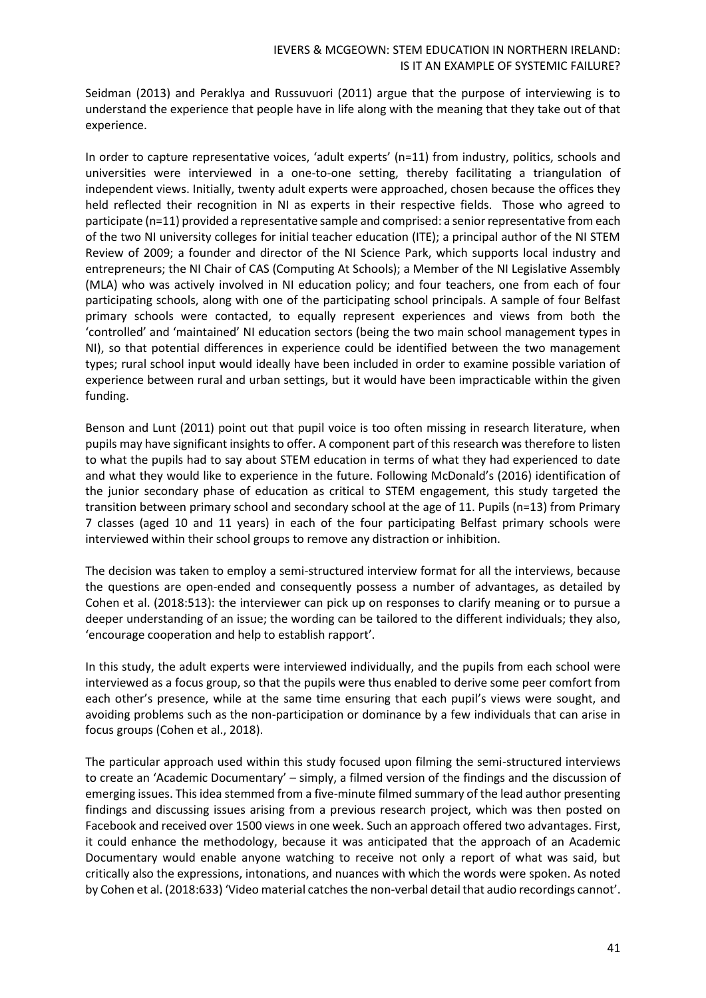Seidman (2013) and Peraklya and Russuvuori (2011) argue that the purpose of interviewing is to understand the experience that people have in life along with the meaning that they take out of that experience.

In order to capture representative voices, 'adult experts' (n=11) from industry, politics, schools and universities were interviewed in a one-to-one setting, thereby facilitating a triangulation of independent views. Initially, twenty adult experts were approached, chosen because the offices they held reflected their recognition in NI as experts in their respective fields. Those who agreed to participate (n=11) provided a representative sample and comprised: a senior representative from each of the two NI university colleges for initial teacher education (ITE); a principal author of the NI STEM Review of 2009; a founder and director of the NI Science Park, which supports local industry and entrepreneurs; the NI Chair of CAS (Computing At Schools); a Member of the NI Legislative Assembly (MLA) who was actively involved in NI education policy; and four teachers, one from each of four participating schools, along with one of the participating school principals. A sample of four Belfast primary schools were contacted, to equally represent experiences and views from both the 'controlled' and 'maintained' NI education sectors (being the two main school management types in NI), so that potential differences in experience could be identified between the two management types; rural school input would ideally have been included in order to examine possible variation of experience between rural and urban settings, but it would have been impracticable within the given funding.

Benson and Lunt (2011) point out that pupil voice is too often missing in research literature, when pupils may have significant insights to offer. A component part of this research was therefore to listen to what the pupils had to say about STEM education in terms of what they had experienced to date and what they would like to experience in the future. Following McDonald's (2016) identification of the junior secondary phase of education as critical to STEM engagement, this study targeted the transition between primary school and secondary school at the age of 11. Pupils (n=13) from Primary 7 classes (aged 10 and 11 years) in each of the four participating Belfast primary schools were interviewed within their school groups to remove any distraction or inhibition.

The decision was taken to employ a semi-structured interview format for all the interviews, because the questions are open-ended and consequently possess a number of advantages, as detailed by Cohen et al. (2018:513): the interviewer can pick up on responses to clarify meaning or to pursue a deeper understanding of an issue; the wording can be tailored to the different individuals; they also, 'encourage cooperation and help to establish rapport'.

In this study, the adult experts were interviewed individually, and the pupils from each school were interviewed as a focus group, so that the pupils were thus enabled to derive some peer comfort from each other's presence, while at the same time ensuring that each pupil's views were sought, and avoiding problems such as the non-participation or dominance by a few individuals that can arise in focus groups (Cohen et al., 2018).

The particular approach used within this study focused upon filming the semi-structured interviews to create an 'Academic Documentary' – simply, a filmed version of the findings and the discussion of emerging issues. This idea stemmed from a five-minute filmed summary of the lead author presenting findings and discussing issues arising from a previous research project, which was then posted on Facebook and received over 1500 views in one week. Such an approach offered two advantages. First, it could enhance the methodology, because it was anticipated that the approach of an Academic Documentary would enable anyone watching to receive not only a report of what was said, but critically also the expressions, intonations, and nuances with which the words were spoken. As noted by Cohen et al. (2018:633) 'Video material catches the non-verbal detail that audio recordings cannot'.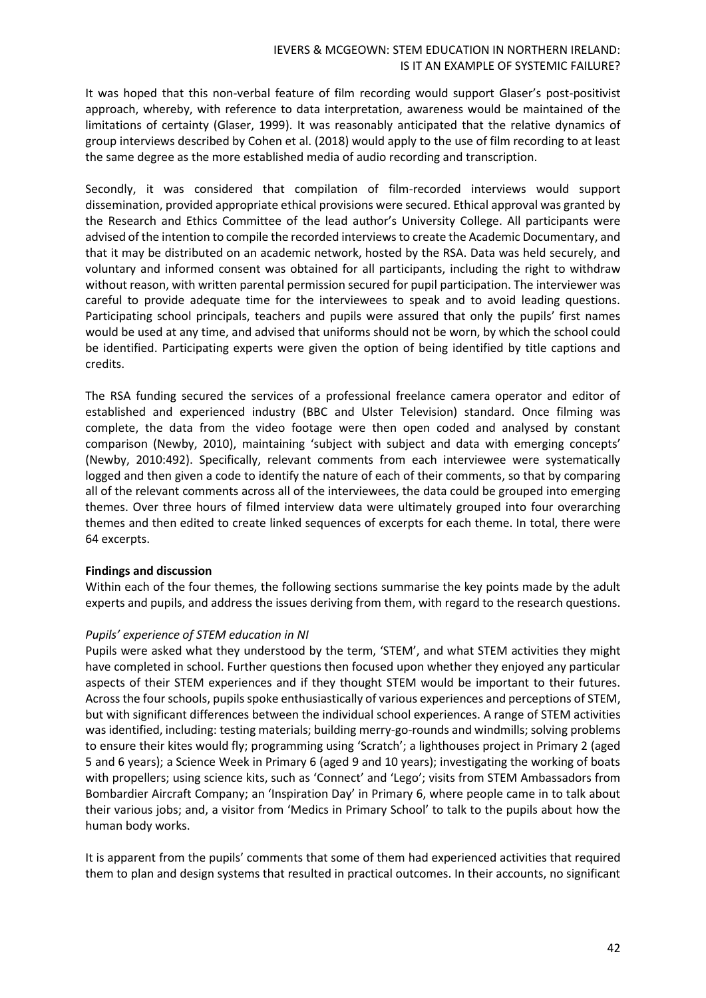It was hoped that this non-verbal feature of film recording would support Glaser's post-positivist approach, whereby, with reference to data interpretation, awareness would be maintained of the limitations of certainty (Glaser, 1999). It was reasonably anticipated that the relative dynamics of group interviews described by Cohen et al. (2018) would apply to the use of film recording to at least the same degree as the more established media of audio recording and transcription.

Secondly, it was considered that compilation of film-recorded interviews would support dissemination, provided appropriate ethical provisions were secured. Ethical approval was granted by the Research and Ethics Committee of the lead author's University College. All participants were advised of the intention to compile the recorded interviews to create the Academic Documentary, and that it may be distributed on an academic network, hosted by the RSA. Data was held securely, and voluntary and informed consent was obtained for all participants, including the right to withdraw without reason, with written parental permission secured for pupil participation. The interviewer was careful to provide adequate time for the interviewees to speak and to avoid leading questions. Participating school principals, teachers and pupils were assured that only the pupils' first names would be used at any time, and advised that uniforms should not be worn, by which the school could be identified. Participating experts were given the option of being identified by title captions and credits.

The RSA funding secured the services of a professional freelance camera operator and editor of established and experienced industry (BBC and Ulster Television) standard. Once filming was complete, the data from the video footage were then open coded and analysed by constant comparison (Newby, 2010), maintaining 'subject with subject and data with emerging concepts' (Newby, 2010:492). Specifically, relevant comments from each interviewee were systematically logged and then given a code to identify the nature of each of their comments, so that by comparing all of the relevant comments across all of the interviewees, the data could be grouped into emerging themes. Over three hours of filmed interview data were ultimately grouped into four overarching themes and then edited to create linked sequences of excerpts for each theme. In total, there were 64 excerpts.

### **Findings and discussion**

Within each of the four themes, the following sections summarise the key points made by the adult experts and pupils, and address the issues deriving from them, with regard to the research questions.

### *Pupils' experience of STEM education in NI*

Pupils were asked what they understood by the term, 'STEM', and what STEM activities they might have completed in school. Further questions then focused upon whether they enjoyed any particular aspects of their STEM experiences and if they thought STEM would be important to their futures. Across the four schools, pupils spoke enthusiastically of various experiences and perceptions of STEM, but with significant differences between the individual school experiences. A range of STEM activities was identified, including: testing materials; building merry-go-rounds and windmills; solving problems to ensure their kites would fly; programming using 'Scratch'; a lighthouses project in Primary 2 (aged 5 and 6 years); a Science Week in Primary 6 (aged 9 and 10 years); investigating the working of boats with propellers; using science kits, such as 'Connect' and 'Lego'; visits from STEM Ambassadors from Bombardier Aircraft Company; an 'Inspiration Day' in Primary 6, where people came in to talk about their various jobs; and, a visitor from 'Medics in Primary School' to talk to the pupils about how the human body works.

It is apparent from the pupils' comments that some of them had experienced activities that required them to plan and design systems that resulted in practical outcomes. In their accounts, no significant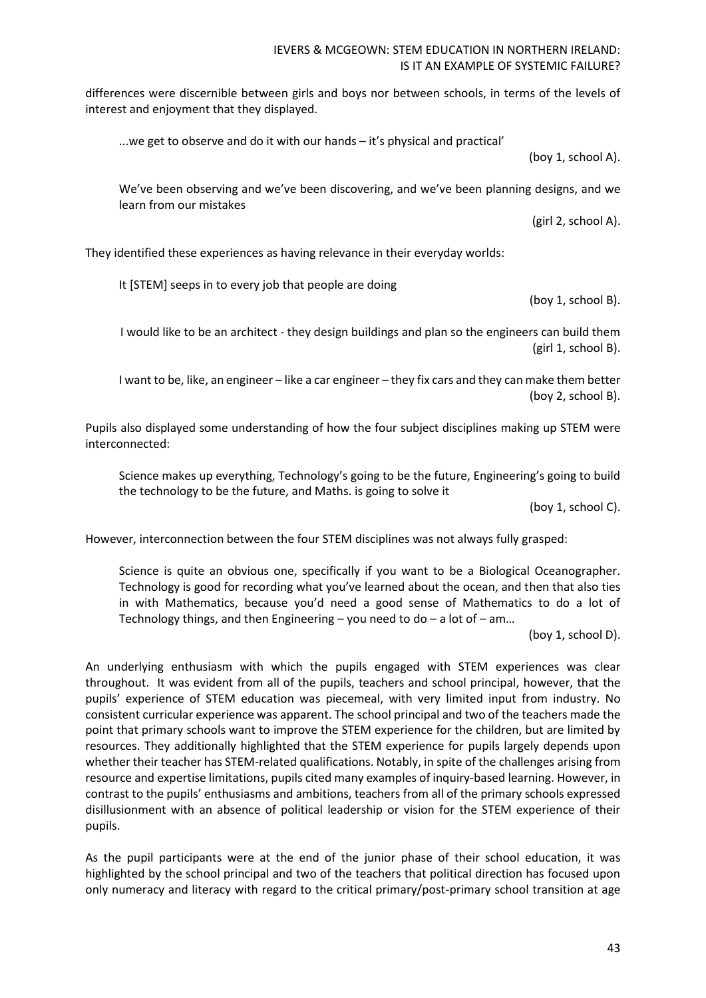#### IEVERS & MCGEOWN: STEM EDUCATION IN NORTHERN IRELAND: IS IT AN EXAMPLE OF SYSTEMIC FAILURE?

differences were discernible between girls and boys nor between schools, in terms of the levels of interest and enjoyment that they displayed.

...we get to observe and do it with our hands – it's physical and practical'

(boy 1, school A).

We've been observing and we've been discovering, and we've been planning designs, and we learn from our mistakes

(girl 2, school A).

They identified these experiences as having relevance in their everyday worlds:

It [STEM] seeps in to every job that people are doing

(boy 1, school B).

I would like to be an architect - they design buildings and plan so the engineers can build them (girl 1, school B).

I want to be, like, an engineer – like a car engineer – they fix cars and they can make them better (boy 2, school B).

Pupils also displayed some understanding of how the four subject disciplines making up STEM were interconnected:

Science makes up everything, Technology's going to be the future, Engineering's going to build the technology to be the future, and Maths. is going to solve it

(boy 1, school C).

However, interconnection between the four STEM disciplines was not always fully grasped:

Science is quite an obvious one, specifically if you want to be a Biological Oceanographer. Technology is good for recording what you've learned about the ocean, and then that also ties in with Mathematics, because you'd need a good sense of Mathematics to do a lot of Technology things, and then Engineering – you need to do – a lot of – am...

(boy 1, school D).

An underlying enthusiasm with which the pupils engaged with STEM experiences was clear throughout. It was evident from all of the pupils, teachers and school principal, however, that the pupils' experience of STEM education was piecemeal, with very limited input from industry. No consistent curricular experience was apparent. The school principal and two of the teachers made the point that primary schools want to improve the STEM experience for the children, but are limited by resources. They additionally highlighted that the STEM experience for pupils largely depends upon whether their teacher has STEM-related qualifications. Notably, in spite of the challenges arising from resource and expertise limitations, pupils cited many examples of inquiry-based learning. However, in contrast to the pupils' enthusiasms and ambitions, teachers from all of the primary schools expressed disillusionment with an absence of political leadership or vision for the STEM experience of their pupils.

As the pupil participants were at the end of the junior phase of their school education, it was highlighted by the school principal and two of the teachers that political direction has focused upon only numeracy and literacy with regard to the critical primary/post-primary school transition at age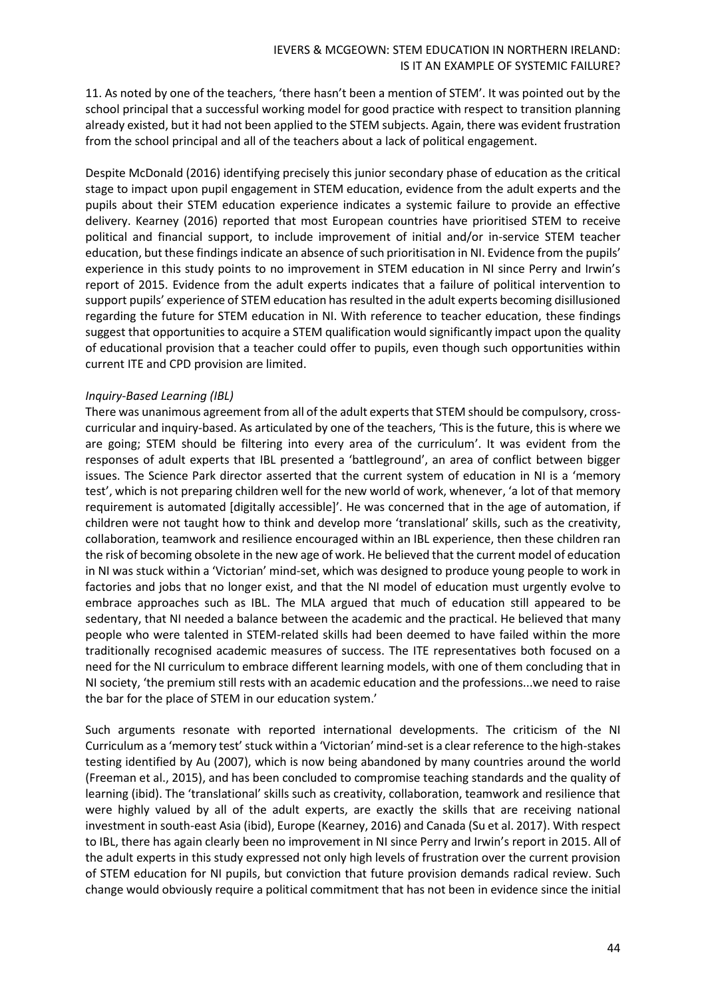11. As noted by one of the teachers, 'there hasn't been a mention of STEM'. It was pointed out by the school principal that a successful working model for good practice with respect to transition planning already existed, but it had not been applied to the STEM subjects. Again, there was evident frustration from the school principal and all of the teachers about a lack of political engagement.

Despite McDonald (2016) identifying precisely this junior secondary phase of education as the critical stage to impact upon pupil engagement in STEM education, evidence from the adult experts and the pupils about their STEM education experience indicates a systemic failure to provide an effective delivery. Kearney (2016) reported that most European countries have prioritised STEM to receive political and financial support, to include improvement of initial and/or in-service STEM teacher education, but these findings indicate an absence of such prioritisation in NI. Evidence from the pupils' experience in this study points to no improvement in STEM education in NI since Perry and Irwin's report of 2015. Evidence from the adult experts indicates that a failure of political intervention to support pupils' experience of STEM education has resulted in the adult experts becoming disillusioned regarding the future for STEM education in NI. With reference to teacher education, these findings suggest that opportunities to acquire a STEM qualification would significantly impact upon the quality of educational provision that a teacher could offer to pupils, even though such opportunities within current ITE and CPD provision are limited.

### *Inquiry-Based Learning (IBL)*

There was unanimous agreement from all of the adult experts that STEM should be compulsory, crosscurricular and inquiry-based. As articulated by one of the teachers, 'This is the future, this is where we are going; STEM should be filtering into every area of the curriculum'. It was evident from the responses of adult experts that IBL presented a 'battleground', an area of conflict between bigger issues. The Science Park director asserted that the current system of education in NI is a 'memory test', which is not preparing children well for the new world of work, whenever, 'a lot of that memory requirement is automated [digitally accessible]'. He was concerned that in the age of automation, if children were not taught how to think and develop more 'translational' skills, such as the creativity, collaboration, teamwork and resilience encouraged within an IBL experience, then these children ran the risk of becoming obsolete in the new age of work. He believed that the current model of education in NI was stuck within a 'Victorian' mind-set, which was designed to produce young people to work in factories and jobs that no longer exist, and that the NI model of education must urgently evolve to embrace approaches such as IBL. The MLA argued that much of education still appeared to be sedentary, that NI needed a balance between the academic and the practical. He believed that many people who were talented in STEM-related skills had been deemed to have failed within the more traditionally recognised academic measures of success. The ITE representatives both focused on a need for the NI curriculum to embrace different learning models, with one of them concluding that in NI society, 'the premium still rests with an academic education and the professions...we need to raise the bar for the place of STEM in our education system.'

Such arguments resonate with reported international developments. The criticism of the NI Curriculum as a 'memory test' stuck within a 'Victorian' mind-set is a clear reference to the high-stakes testing identified by Au (2007), which is now being abandoned by many countries around the world (Freeman et al., 2015), and has been concluded to compromise teaching standards and the quality of learning (ibid). The 'translational' skills such as creativity, collaboration, teamwork and resilience that were highly valued by all of the adult experts, are exactly the skills that are receiving national investment in south-east Asia (ibid), Europe (Kearney, 2016) and Canada (Su et al. 2017). With respect to IBL, there has again clearly been no improvement in NI since Perry and Irwin's report in 2015. All of the adult experts in this study expressed not only high levels of frustration over the current provision of STEM education for NI pupils, but conviction that future provision demands radical review. Such change would obviously require a political commitment that has not been in evidence since the initial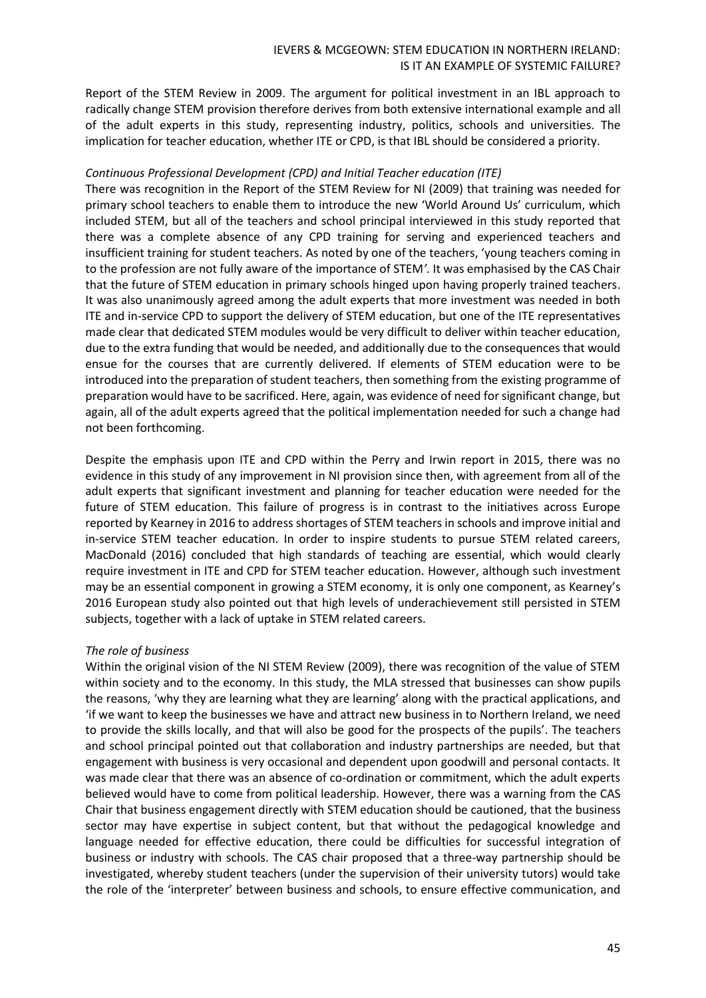Report of the STEM Review in 2009. The argument for political investment in an IBL approach to radically change STEM provision therefore derives from both extensive international example and all of the adult experts in this study, representing industry, politics, schools and universities. The implication for teacher education, whether ITE or CPD, is that IBL should be considered a priority.

### *Continuous Professional Development (CPD) and Initial Teacher education (ITE)*

There was recognition in the Report of the STEM Review for NI (2009) that training was needed for primary school teachers to enable them to introduce the new 'World Around Us' curriculum, which included STEM, but all of the teachers and school principal interviewed in this study reported that there was a complete absence of any CPD training for serving and experienced teachers and insufficient training for student teachers. As noted by one of the teachers, 'young teachers coming in to the profession are not fully aware of the importance of STEM*'.* It was emphasised by the CAS Chair that the future of STEM education in primary schools hinged upon having properly trained teachers. It was also unanimously agreed among the adult experts that more investment was needed in both ITE and in-service CPD to support the delivery of STEM education, but one of the ITE representatives made clear that dedicated STEM modules would be very difficult to deliver within teacher education, due to the extra funding that would be needed, and additionally due to the consequences that would ensue for the courses that are currently delivered. If elements of STEM education were to be introduced into the preparation of student teachers, then something from the existing programme of preparation would have to be sacrificed. Here, again, was evidence of need for significant change, but again, all of the adult experts agreed that the political implementation needed for such a change had not been forthcoming.

Despite the emphasis upon ITE and CPD within the Perry and Irwin report in 2015, there was no evidence in this study of any improvement in NI provision since then, with agreement from all of the adult experts that significant investment and planning for teacher education were needed for the future of STEM education. This failure of progress is in contrast to the initiatives across Europe reported by Kearney in 2016 to address shortages of STEM teachers in schools and improve initial and in-service STEM teacher education. In order to inspire students to pursue STEM related careers, MacDonald (2016) concluded that high standards of teaching are essential, which would clearly require investment in ITE and CPD for STEM teacher education. However, although such investment may be an essential component in growing a STEM economy, it is only one component, as Kearney's 2016 European study also pointed out that high levels of underachievement still persisted in STEM subjects, together with a lack of uptake in STEM related careers.

### *The role of business*

Within the original vision of the NI STEM Review (2009), there was recognition of the value of STEM within society and to the economy. In this study, the MLA stressed that businesses can show pupils the reasons, 'why they are learning what they are learning' along with the practical applications, and 'if we want to keep the businesses we have and attract new business in to Northern Ireland, we need to provide the skills locally, and that will also be good for the prospects of the pupils'. The teachers and school principal pointed out that collaboration and industry partnerships are needed, but that engagement with business is very occasional and dependent upon goodwill and personal contacts. It was made clear that there was an absence of co-ordination or commitment, which the adult experts believed would have to come from political leadership. However, there was a warning from the CAS Chair that business engagement directly with STEM education should be cautioned, that the business sector may have expertise in subject content, but that without the pedagogical knowledge and language needed for effective education, there could be difficulties for successful integration of business or industry with schools. The CAS chair proposed that a three-way partnership should be investigated, whereby student teachers (under the supervision of their university tutors) would take the role of the 'interpreter' between business and schools, to ensure effective communication, and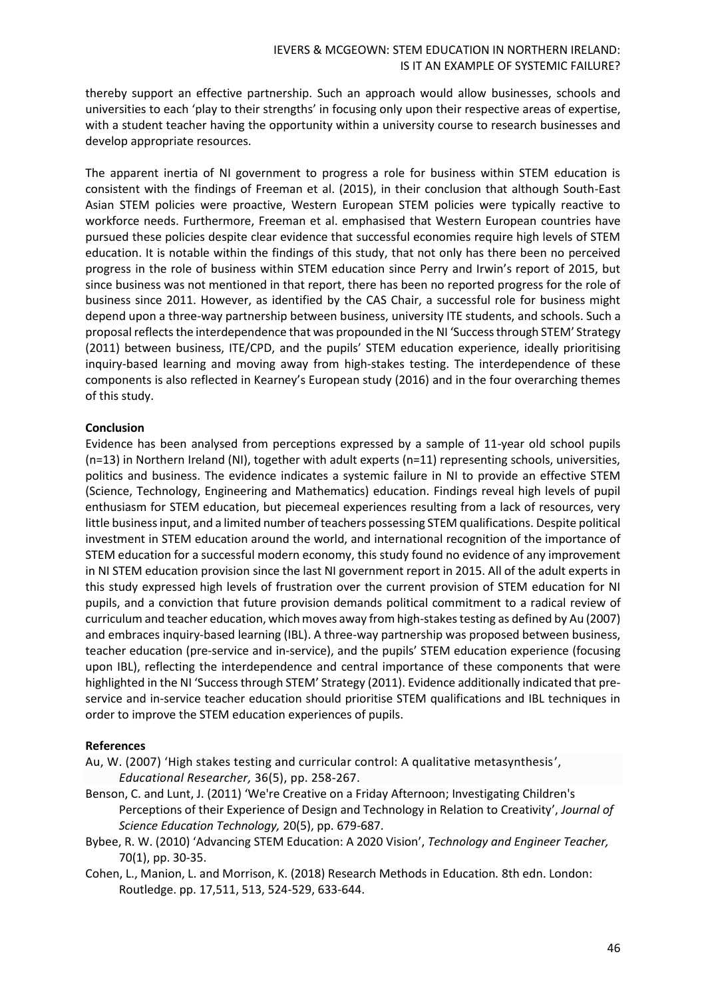thereby support an effective partnership. Such an approach would allow businesses, schools and universities to each 'play to their strengths' in focusing only upon their respective areas of expertise, with a student teacher having the opportunity within a university course to research businesses and develop appropriate resources.

The apparent inertia of NI government to progress a role for business within STEM education is consistent with the findings of Freeman et al. (2015), in their conclusion that although South-East Asian STEM policies were proactive, Western European STEM policies were typically reactive to workforce needs. Furthermore, Freeman et al. emphasised that Western European countries have pursued these policies despite clear evidence that successful economies require high levels of STEM education. It is notable within the findings of this study, that not only has there been no perceived progress in the role of business within STEM education since Perry and Irwin's report of 2015, but since business was not mentioned in that report, there has been no reported progress for the role of business since 2011. However, as identified by the CAS Chair, a successful role for business might depend upon a three-way partnership between business, university ITE students, and schools. Such a proposal reflects the interdependence that was propounded in the NI 'Success through STEM' Strategy (2011) between business, ITE/CPD, and the pupils' STEM education experience, ideally prioritising inquiry-based learning and moving away from high-stakes testing. The interdependence of these components is also reflected in Kearney's European study (2016) and in the four overarching themes of this study.

### **Conclusion**

Evidence has been analysed from perceptions expressed by a sample of 11-year old school pupils (n=13) in Northern Ireland (NI), together with adult experts (n=11) representing schools, universities, politics and business. The evidence indicates a systemic failure in NI to provide an effective STEM (Science, Technology, Engineering and Mathematics) education. Findings reveal high levels of pupil enthusiasm for STEM education, but piecemeal experiences resulting from a lack of resources, very little business input, and a limited number of teachers possessing STEM qualifications. Despite political investment in STEM education around the world, and international recognition of the importance of STEM education for a successful modern economy, this study found no evidence of any improvement in NI STEM education provision since the last NI government report in 2015. All of the adult experts in this study expressed high levels of frustration over the current provision of STEM education for NI pupils, and a conviction that future provision demands political commitment to a radical review of curriculum and teacher education, which moves away from high-stakes testing as defined by Au (2007) and embraces inquiry-based learning (IBL). A three-way partnership was proposed between business, teacher education (pre-service and in-service), and the pupils' STEM education experience (focusing upon IBL), reflecting the interdependence and central importance of these components that were highlighted in the NI 'Success through STEM' Strategy (2011). Evidence additionally indicated that preservice and in-service teacher education should prioritise STEM qualifications and IBL techniques in order to improve the STEM education experiences of pupils.

### **References**

- Au, W. (2007) 'High stakes testing and curricular control: A qualitative metasynthesis', *Educational Researcher,* 36[\(5\)](https://link.springer.com/journal/10798/26/1/page/1), pp. 258-267.
- Benson, C. and Lunt, J. (2011) 'We're Creative on a Friday Afternoon; Investigating Children's Perceptions of their Experience of Design and Technology in Relation to Creativity', *Journal of Science Education Technology,* 20(5), pp. 679-687.
- Bybee, R. W. (2010) 'Advancing STEM Education: A 2020 Vision', *Technology and Engineer Teacher,*  70(1), pp. 30-35.
- Cohen, L., Manion, L. and Morrison, K. (2018) Research Methods in Education*.* 8th edn. London: Routledge. pp. 17,511, 513, 524-529, 633-644.